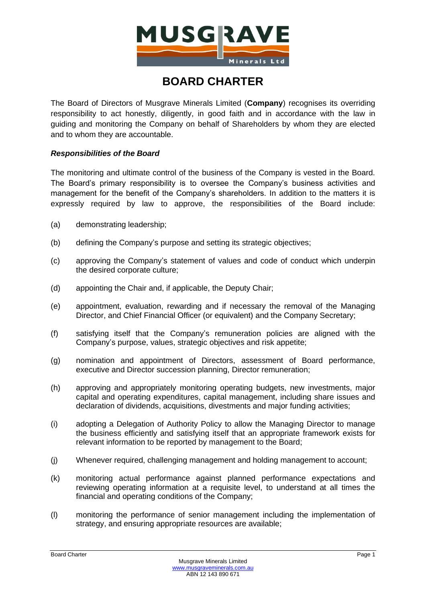

# **BOARD CHARTER**

The Board of Directors of Musgrave Minerals Limited (**Company**) recognises its overriding responsibility to act honestly, diligently, in good faith and in accordance with the law in guiding and monitoring the Company on behalf of Shareholders by whom they are elected and to whom they are accountable.

## *Responsibilities of the Board*

The monitoring and ultimate control of the business of the Company is vested in the Board. The Board's primary responsibility is to oversee the Company's business activities and management for the benefit of the Company's shareholders. In addition to the matters it is expressly required by law to approve, the responsibilities of the Board include:

- (a) demonstrating leadership;
- (b) defining the Company's purpose and setting its strategic objectives;
- (c) approving the Company's statement of values and code of conduct which underpin the desired corporate culture;
- (d) appointing the Chair and, if applicable, the Deputy Chair;
- (e) appointment, evaluation, rewarding and if necessary the removal of the Managing Director, and Chief Financial Officer (or equivalent) and the Company Secretary;
- (f) satisfying itself that the Company's remuneration policies are aligned with the Company's purpose, values, strategic objectives and risk appetite;
- (g) nomination and appointment of Directors, assessment of Board performance, executive and Director succession planning, Director remuneration;
- (h) approving and appropriately monitoring operating budgets, new investments, major capital and operating expenditures, capital management, including share issues and declaration of dividends, acquisitions, divestments and major funding activities;
- (i) adopting a Delegation of Authority Policy to allow the Managing Director to manage the business efficiently and satisfying itself that an appropriate framework exists for relevant information to be reported by management to the Board;
- (j) Whenever required, challenging management and holding management to account;
- (k) monitoring actual performance against planned performance expectations and reviewing operating information at a requisite level, to understand at all times the financial and operating conditions of the Company;
- (l) monitoring the performance of senior management including the implementation of strategy, and ensuring appropriate resources are available;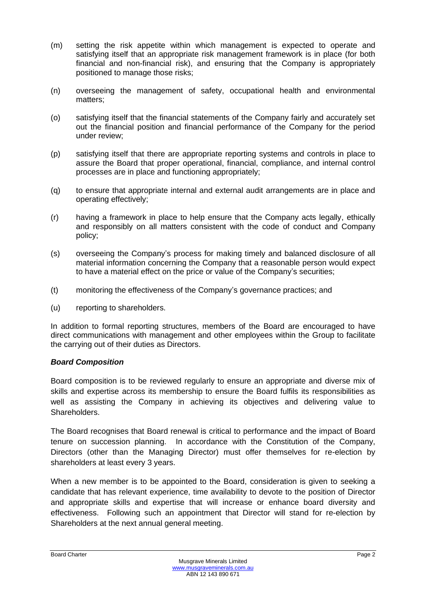- (m) setting the risk appetite within which management is expected to operate and satisfying itself that an appropriate risk management framework is in place (for both financial and non-financial risk), and ensuring that the Company is appropriately positioned to manage those risks;
- (n) overseeing the management of safety, occupational health and environmental matters;
- (o) satisfying itself that the financial statements of the Company fairly and accurately set out the financial position and financial performance of the Company for the period under review;
- (p) satisfying itself that there are appropriate reporting systems and controls in place to assure the Board that proper operational, financial, compliance, and internal control processes are in place and functioning appropriately;
- (q) to ensure that appropriate internal and external audit arrangements are in place and operating effectively;
- (r) having a framework in place to help ensure that the Company acts legally, ethically and responsibly on all matters consistent with the code of conduct and Company policy;
- (s) overseeing the Company's process for making timely and balanced disclosure of all material information concerning the Company that a reasonable person would expect to have a material effect on the price or value of the Company's securities;
- (t) monitoring the effectiveness of the Company's governance practices; and
- (u) reporting to shareholders.

In addition to formal reporting structures, members of the Board are encouraged to have direct communications with management and other employees within the Group to facilitate the carrying out of their duties as Directors.

## *Board Composition*

Board composition is to be reviewed regularly to ensure an appropriate and diverse mix of skills and expertise across its membership to ensure the Board fulfils its responsibilities as well as assisting the Company in achieving its objectives and delivering value to Shareholders.

The Board recognises that Board renewal is critical to performance and the impact of Board tenure on succession planning. In accordance with the Constitution of the Company, Directors (other than the Managing Director) must offer themselves for re-election by shareholders at least every 3 years.

When a new member is to be appointed to the Board, consideration is given to seeking a candidate that has relevant experience, time availability to devote to the position of Director and appropriate skills and expertise that will increase or enhance board diversity and effectiveness. Following such an appointment that Director will stand for re-election by Shareholders at the next annual general meeting.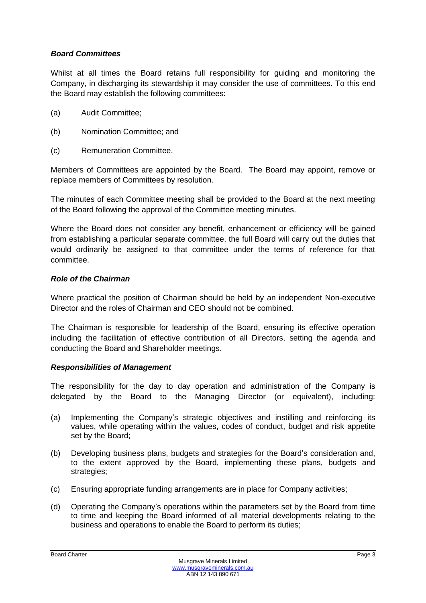## *Board Committees*

Whilst at all times the Board retains full responsibility for guiding and monitoring the Company, in discharging its stewardship it may consider the use of committees. To this end the Board may establish the following committees:

- (a) Audit Committee;
- (b) Nomination Committee; and
- (c) Remuneration Committee.

Members of Committees are appointed by the Board. The Board may appoint, remove or replace members of Committees by resolution.

The minutes of each Committee meeting shall be provided to the Board at the next meeting of the Board following the approval of the Committee meeting minutes.

Where the Board does not consider any benefit, enhancement or efficiency will be gained from establishing a particular separate committee, the full Board will carry out the duties that would ordinarily be assigned to that committee under the terms of reference for that committee.

## *Role of the Chairman*

Where practical the position of Chairman should be held by an independent Non-executive Director and the roles of Chairman and CEO should not be combined.

The Chairman is responsible for leadership of the Board, ensuring its effective operation including the facilitation of effective contribution of all Directors, setting the agenda and conducting the Board and Shareholder meetings.

## *Responsibilities of Management*

The responsibility for the day to day operation and administration of the Company is delegated by the Board to the Managing Director (or equivalent), including:

- (a) Implementing the Company's strategic objectives and instilling and reinforcing its values, while operating within the values, codes of conduct, budget and risk appetite set by the Board;
- (b) Developing business plans, budgets and strategies for the Board's consideration and, to the extent approved by the Board, implementing these plans, budgets and strategies;
- (c) Ensuring appropriate funding arrangements are in place for Company activities;
- (d) Operating the Company's operations within the parameters set by the Board from time to time and keeping the Board informed of all material developments relating to the business and operations to enable the Board to perform its duties;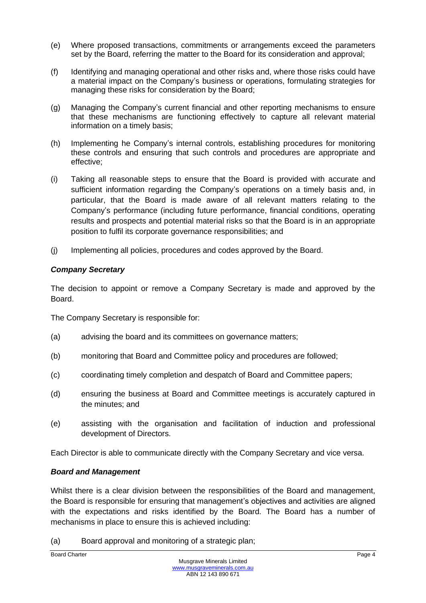- (e) Where proposed transactions, commitments or arrangements exceed the parameters set by the Board, referring the matter to the Board for its consideration and approval;
- (f) Identifying and managing operational and other risks and, where those risks could have a material impact on the Company's business or operations, formulating strategies for managing these risks for consideration by the Board;
- (g) Managing the Company's current financial and other reporting mechanisms to ensure that these mechanisms are functioning effectively to capture all relevant material information on a timely basis;
- (h) Implementing he Company's internal controls, establishing procedures for monitoring these controls and ensuring that such controls and procedures are appropriate and effective;
- (i) Taking all reasonable steps to ensure that the Board is provided with accurate and sufficient information regarding the Company's operations on a timely basis and, in particular, that the Board is made aware of all relevant matters relating to the Company's performance (including future performance, financial conditions, operating results and prospects and potential material risks so that the Board is in an appropriate position to fulfil its corporate governance responsibilities; and
- (j) Implementing all policies, procedures and codes approved by the Board.

# *Company Secretary*

The decision to appoint or remove a Company Secretary is made and approved by the Board.

The Company Secretary is responsible for:

- (a) advising the board and its committees on governance matters;
- (b) monitoring that Board and Committee policy and procedures are followed;
- (c) coordinating timely completion and despatch of Board and Committee papers;
- (d) ensuring the business at Board and Committee meetings is accurately captured in the minutes; and
- (e) assisting with the organisation and facilitation of induction and professional development of Directors.

Each Director is able to communicate directly with the Company Secretary and vice versa.

## *Board and Management*

Whilst there is a clear division between the responsibilities of the Board and management, the Board is responsible for ensuring that management's objectives and activities are aligned with the expectations and risks identified by the Board. The Board has a number of mechanisms in place to ensure this is achieved including:

(a) Board approval and monitoring of a strategic plan;